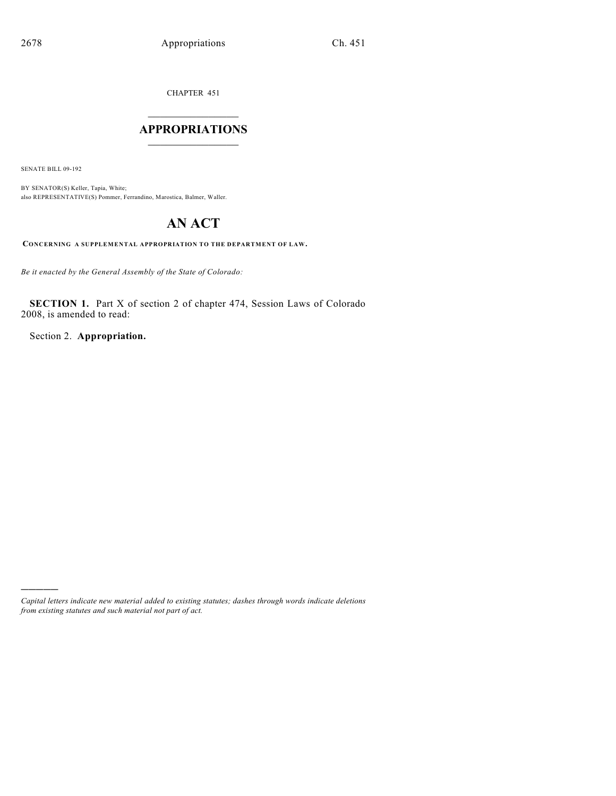CHAPTER 451

## $\overline{\phantom{a}}$  . The set of the set of the set of the set of the set of the set of the set of the set of the set of the set of the set of the set of the set of the set of the set of the set of the set of the set of the set o **APPROPRIATIONS**  $\_$   $\_$   $\_$   $\_$   $\_$   $\_$   $\_$   $\_$

SENATE BILL 09-192

)))))

BY SENATOR(S) Keller, Tapia, White; also REPRESENTATIVE(S) Pommer, Ferrandino, Marostica, Balmer, Waller.

# **AN ACT**

**CONCERNING A SUPPLEMENTAL APPROPRIATION TO THE DEPARTMENT OF LAW.**

*Be it enacted by the General Assembly of the State of Colorado:*

**SECTION 1.** Part X of section 2 of chapter 474, Session Laws of Colorado 2008, is amended to read:

Section 2. **Appropriation.**

*Capital letters indicate new material added to existing statutes; dashes through words indicate deletions from existing statutes and such material not part of act.*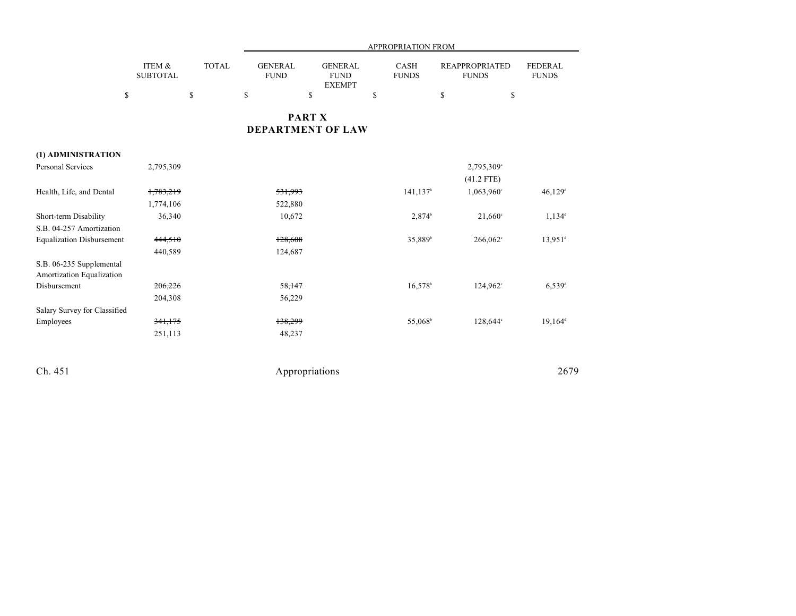|                                                       |                           |              |                               |                                                | <b>APPROPRIATION FROM</b>   |                                       |                                |
|-------------------------------------------------------|---------------------------|--------------|-------------------------------|------------------------------------------------|-----------------------------|---------------------------------------|--------------------------------|
|                                                       | ITEM &<br><b>SUBTOTAL</b> | <b>TOTAL</b> | <b>GENERAL</b><br><b>FUND</b> | <b>GENERAL</b><br><b>FUND</b><br><b>EXEMPT</b> | <b>CASH</b><br><b>FUNDS</b> | <b>REAPPROPRIATED</b><br><b>FUNDS</b> | <b>FEDERAL</b><br><b>FUNDS</b> |
|                                                       | \$                        | \$           | \$                            | \$                                             | \$                          | \$<br>\$                              |                                |
|                                                       |                           |              | <b>DEPARTMENT OF LAW</b>      | <b>PART X</b>                                  |                             |                                       |                                |
| (1) ADMINISTRATION                                    |                           |              |                               |                                                |                             |                                       |                                |
| Personal Services                                     | 2,795,309                 |              |                               |                                                |                             | 2,795,309 <sup>a</sup>                |                                |
|                                                       |                           |              |                               |                                                |                             | $(41.2$ FTE)                          |                                |
| Health, Life, and Dental                              | 1,783,219                 |              | 531,993                       |                                                | $141, 137$ <sup>b</sup>     | 1,063,960°                            | $46,129$ <sup>d</sup>          |
|                                                       | 1,774,106                 |              | 522,880                       |                                                |                             |                                       |                                |
| Short-term Disability                                 | 36,340                    |              | 10,672                        |                                                | $2,874^b$                   | 21,660°                               | $1,134^d$                      |
| S.B. 04-257 Amortization                              |                           |              |                               |                                                |                             |                                       |                                |
| <b>Equalization Disbursement</b>                      | 444,510                   |              | 128,608                       |                                                | 35,889 <sup>b</sup>         | 266,062°                              | $13,951$ <sup>d</sup>          |
|                                                       | 440,589                   |              | 124,687                       |                                                |                             |                                       |                                |
| S.B. 06-235 Supplemental<br>Amortization Equalization |                           |              |                               |                                                |                             |                                       |                                |
| Disbursement                                          | 206,226                   |              | 58,147                        |                                                | $16,578$ <sup>b</sup>       | $124,962^{\circ}$                     | $6,539$ <sup>d</sup>           |
|                                                       | 204,308                   |              | 56,229                        |                                                |                             |                                       |                                |
| Salary Survey for Classified                          |                           |              |                               |                                                |                             |                                       |                                |
| Employees                                             | 341,175                   |              | 138,299                       |                                                | 55,068 <sup>b</sup>         | 128,644°                              | $19,164^d$                     |
|                                                       | 251,113                   |              | 48,237                        |                                                |                             |                                       |                                |
| Ch. 451                                               |                           |              |                               | Appropriations                                 |                             |                                       | 2679                           |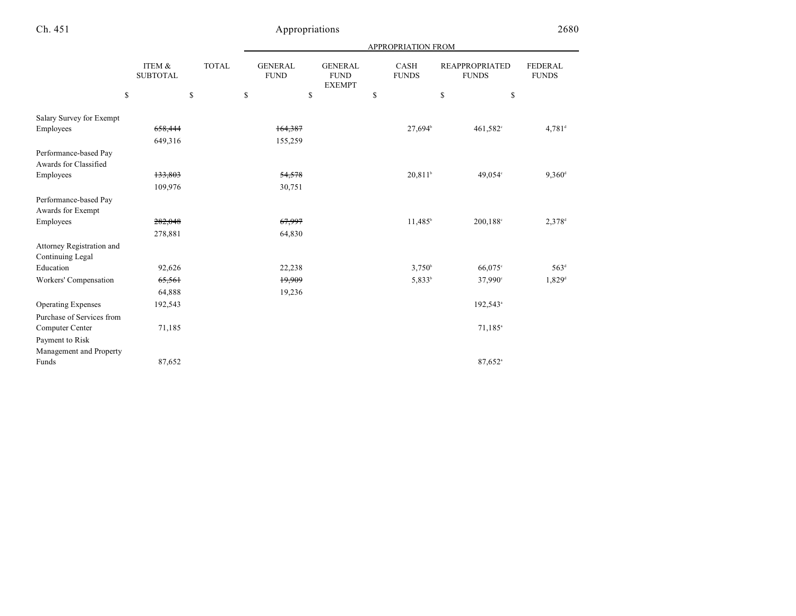| <b>APPROPRIATION FROM</b> |
|---------------------------|
|---------------------------|

|                                                | ITEM &<br><b>SUBTOTAL</b><br>\$ | <b>TOTAL</b><br>\$ | <b>GENERAL</b><br><b>FUND</b><br>\$ | <b>GENERAL</b><br><b>FUND</b><br><b>EXEMPT</b><br>\$ | <b>CASH</b><br><b>FUNDS</b><br>\$ | <b>REAPPROPRIATED</b><br><b>FUNDS</b><br>\$ | <b>FEDERAL</b><br><b>FUNDS</b><br>\$ |
|------------------------------------------------|---------------------------------|--------------------|-------------------------------------|------------------------------------------------------|-----------------------------------|---------------------------------------------|--------------------------------------|
|                                                |                                 |                    |                                     |                                                      |                                   |                                             |                                      |
| Salary Survey for Exempt                       |                                 |                    |                                     |                                                      |                                   |                                             |                                      |
| Employees                                      | 658,444                         |                    | 164,387                             |                                                      | 27,694 <sup>b</sup>               | 461,582°                                    | $4,781$ <sup>d</sup>                 |
|                                                | 649,316                         |                    | 155,259                             |                                                      |                                   |                                             |                                      |
| Performance-based Pay<br>Awards for Classified |                                 |                    |                                     |                                                      |                                   |                                             |                                      |
| Employees                                      | 133,803                         |                    | 54,578                              |                                                      | $20,811$ <sup>b</sup>             | 49,054°                                     | $9,360$ <sup>d</sup>                 |
|                                                | 109,976                         |                    | 30,751                              |                                                      |                                   |                                             |                                      |
| Performance-based Pay<br>Awards for Exempt     |                                 |                    |                                     |                                                      |                                   |                                             |                                      |
| Employees                                      | 282,048                         |                    | 67,997                              |                                                      | $11,485^b$                        | 200,188°                                    | $2,378$ <sup>d</sup>                 |
|                                                | 278,881                         |                    | 64,830                              |                                                      |                                   |                                             |                                      |
| Attorney Registration and<br>Continuing Legal  |                                 |                    |                                     |                                                      |                                   |                                             |                                      |
| Education                                      | 92,626                          |                    | 22,238                              |                                                      | $3,750^{\circ}$                   | 66,075°                                     | 563 <sup>d</sup>                     |
| Workers' Compensation                          | 65,561                          |                    | 19,909                              |                                                      | 5,833 <sup>b</sup>                | 37,990°                                     | $1,829$ <sup>d</sup>                 |
|                                                | 64,888                          |                    | 19,236                              |                                                      |                                   |                                             |                                      |
| <b>Operating Expenses</b>                      | 192,543                         |                    |                                     |                                                      |                                   | 192,543 <sup>a</sup>                        |                                      |
| Purchase of Services from                      |                                 |                    |                                     |                                                      |                                   |                                             |                                      |
| Computer Center                                | 71,185                          |                    |                                     |                                                      |                                   | $71,185$ <sup>a</sup>                       |                                      |
| Payment to Risk                                |                                 |                    |                                     |                                                      |                                   |                                             |                                      |
| Management and Property                        |                                 |                    |                                     |                                                      |                                   |                                             |                                      |
| Funds                                          | 87,652                          |                    |                                     |                                                      |                                   | $87,652$ <sup>a</sup>                       |                                      |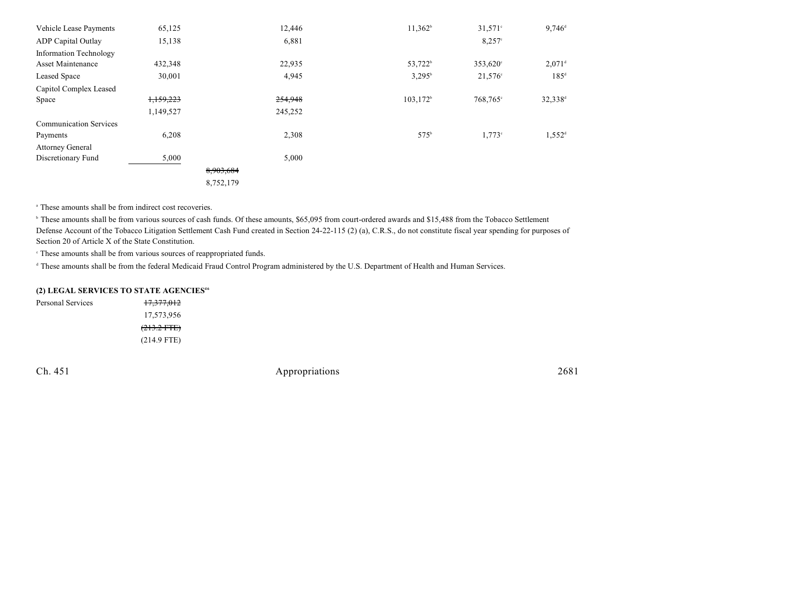| Vehicle Lease Payments        | 65,125    |           | 12,446  | $11,362^b$          | $31,571$ °           | $9,746^{\rm d}$      |
|-------------------------------|-----------|-----------|---------|---------------------|----------------------|----------------------|
| <b>ADP</b> Capital Outlay     | 15,138    |           | 6,881   |                     | $8,257^{\circ}$      |                      |
| <b>Information Technology</b> |           |           |         |                     |                      |                      |
| <b>Asset Maintenance</b>      | 432,348   |           | 22,935  | 53,722 <sup>b</sup> | 353,620 <sup>c</sup> | $2.071$ <sup>d</sup> |
| Leased Space                  | 30,001    |           | 4,945   | $3,295^{\rm b}$     | $21,576^{\circ}$     | $185^{\circ}$        |
| Capitol Complex Leased        |           |           |         |                     |                      |                      |
| Space                         | 1,159,223 |           | 254,948 | $103,172^b$         | 768,765°             | 32,338 <sup>d</sup>  |
|                               | 1,149,527 |           | 245,252 |                     |                      |                      |
| <b>Communication Services</b> |           |           |         |                     |                      |                      |
| Payments                      | 6,208     |           | 2,308   | 575 <sup>b</sup>    | $1,773$ °            | $1,552^{\rm d}$      |
| <b>Attorney General</b>       |           |           |         |                     |                      |                      |
| Discretionary Fund            | 5,000     |           | 5,000   |                     |                      |                      |
|                               |           | 8,903,684 |         |                     |                      |                      |
|                               |           | 8,752,179 |         |                     |                      |                      |

<sup>a</sup> These amounts shall be from indirect cost recoveries.

<sup>b</sup> These amounts shall be from various sources of cash funds. Of these amounts, \$65,095 from court-ordered awards and \$15,488 from the Tobacco Settlement Defense Account of the Tobacco Litigation Settlement Cash Fund created in Section 24-22-115 (2) (a), C.R.S., do not constitute fiscal year spending for purposes of Section 20 of Article X of the State Constitution.

 $\cdot$  These amounts shall be from various sources of reappropriated funds.

(214.9 FTE)

<sup>d</sup> These amounts shall be from the federal Medicaid Fraud Control Program administered by the U.S. Department of Health and Human Services.

#### **(2) LEGAL SERVICES TO STATE AGENCIES<sup>46</sup>**

Personal Services 17,377,012 17,573,956  $(213.2$  FTE)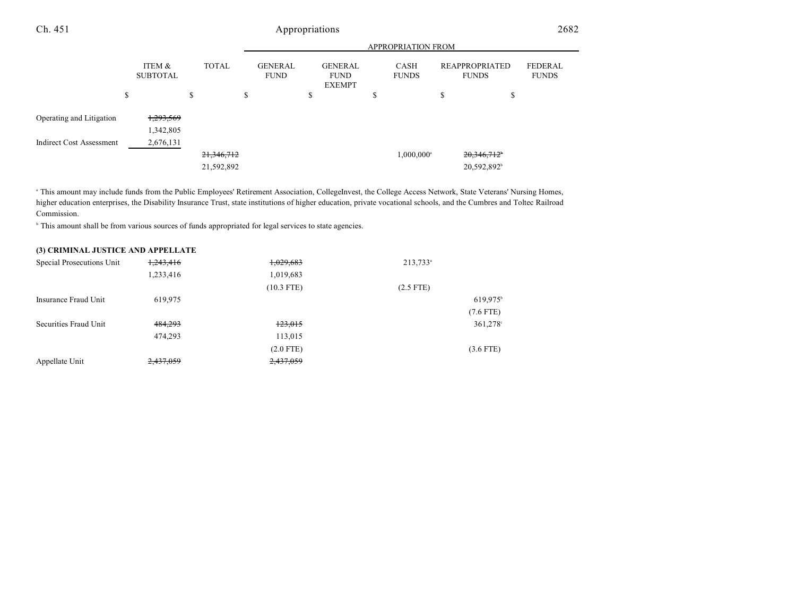|                                 |                           |              |                               |                                                | <b>APPROPRIATION FROM</b> |                                       |                                |
|---------------------------------|---------------------------|--------------|-------------------------------|------------------------------------------------|---------------------------|---------------------------------------|--------------------------------|
|                                 | ITEM &<br><b>SUBTOTAL</b> | <b>TOTAL</b> | <b>GENERAL</b><br><b>FUND</b> | <b>GENERAL</b><br><b>FUND</b><br><b>EXEMPT</b> | CASH<br><b>FUNDS</b>      | <b>REAPPROPRIATED</b><br><b>FUNDS</b> | <b>FEDERAL</b><br><b>FUNDS</b> |
|                                 | \$                        | \$           | \$                            | \$                                             | \$                        | \$<br>¢<br>Φ                          |                                |
| Operating and Litigation        | <del>1,293,569</del>      |              |                               |                                                |                           |                                       |                                |
|                                 | 1,342,805                 |              |                               |                                                |                           |                                       |                                |
| <b>Indirect Cost Assessment</b> | 2,676,131                 |              |                               |                                                |                           |                                       |                                |
|                                 |                           | 21,346,712   |                               |                                                | $1,000,000$ <sup>a</sup>  | 20,346,712 <sup>*</sup>               |                                |
|                                 |                           | 21,592,892   |                               |                                                |                           | 20,592,892 <sup>b</sup>               |                                |

<sup>a</sup> This amount may include funds from the Public Employees' Retirement Association, CollegeInvest, the College Access Network, State Veterans' Nursing Homes, higher education enterprises, the Disability Insurance Trust, state institutions of higher education, private vocational schools, and the Cumbres and Toltec Railroad Commission.

<sup>b</sup> This amount shall be from various sources of funds appropriated for legal services to state agencies.

#### **(3) CRIMINAL JUSTICE AND APPELLATE**

| Special Prosecutions Unit | 1,243,416 | 1,029,683    | $213,733^{\circ}$ |             |
|---------------------------|-----------|--------------|-------------------|-------------|
|                           | 1,233,416 | 1,019,683    |                   |             |
|                           |           | $(10.3$ FTE) | $(2.5$ FTE)       |             |
| Insurance Fraud Unit      | 619,975   |              |                   | 619,975     |
|                           |           |              |                   | $(7.6$ FTE) |
| Securities Fraud Unit     | 484,293   | 123,015      |                   | $361,278$ ° |
|                           | 474.293   | 113,015      |                   |             |
|                           |           | $(2.0$ FTE)  |                   | $(3.6$ FTE) |
| Appellate Unit            | 2,437,059 | 2,437,059    |                   |             |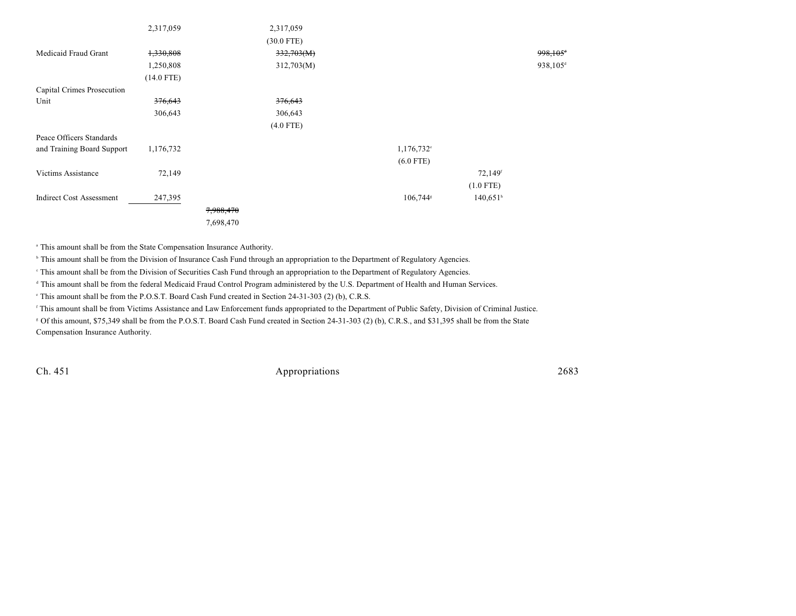|                                 | 2,317,059          |           | 2,317,059          |                      |                        |                      |
|---------------------------------|--------------------|-----------|--------------------|----------------------|------------------------|----------------------|
|                                 |                    |           | $(30.0$ FTE)       |                      |                        |                      |
| Medicaid Fraud Grant            | 1,330,808          |           | 332,703(M)         |                      |                        | 998,105 <sup>*</sup> |
|                                 | 1,250,808          |           | 312,703(M)         |                      |                        | 938,105 <sup>d</sup> |
|                                 | $(14.0$ FTE)       |           |                    |                      |                        |                      |
| Capital Crimes Prosecution      |                    |           |                    |                      |                        |                      |
| Unit                            | <del>376,643</del> |           | <del>376,643</del> |                      |                        |                      |
|                                 | 306,643            |           | 306,643            |                      |                        |                      |
|                                 |                    |           | $(4.0$ FTE)        |                      |                        |                      |
| Peace Officers Standards        |                    |           |                    |                      |                        |                      |
| and Training Board Support      | 1,176,732          |           |                    | $1,176,732^{\circ}$  |                        |                      |
|                                 |                    |           |                    | $(6.0$ FTE)          |                        |                      |
| Victims Assistance              | 72,149             |           |                    |                      | 72,149f                |                      |
|                                 |                    |           |                    |                      | $(1.0$ FTE)            |                      |
| <b>Indirect Cost Assessment</b> | 247,395            |           |                    | 106,744 <sup>s</sup> | $140,651$ <sup>h</sup> |                      |
|                                 |                    | 7,988,470 |                    |                      |                        |                      |
|                                 |                    | 7,698,470 |                    |                      |                        |                      |

<sup>a</sup> This amount shall be from the State Compensation Insurance Authority.

<sup>h</sup> This amount shall be from the Division of Insurance Cash Fund through an appropriation to the Department of Regulatory Agencies.

This amount shall be from the Division of Securities Cash Fund through an appropriation to the Department of Regulatory Agencies.

<sup>d</sup> This amount shall be from the federal Medicaid Fraud Control Program administered by the U.S. Department of Health and Human Services.

This amount shall be from the P.O.S.T. Board Cash Fund created in Section 24-31-303 (2) (b), C.R.S.

<sup>f</sup> This amount shall be from Victims Assistance and Law Enforcement funds appropriated to the Department of Public Safety, Division of Criminal Justice.

 Of this amount, \$75,349 shall be from the P.O.S.T. Board Cash Fund created in Section 24-31-303 (2) (b), C.R.S., and \$31,395 shall be from the State <sup>g</sup> Compensation Insurance Authority.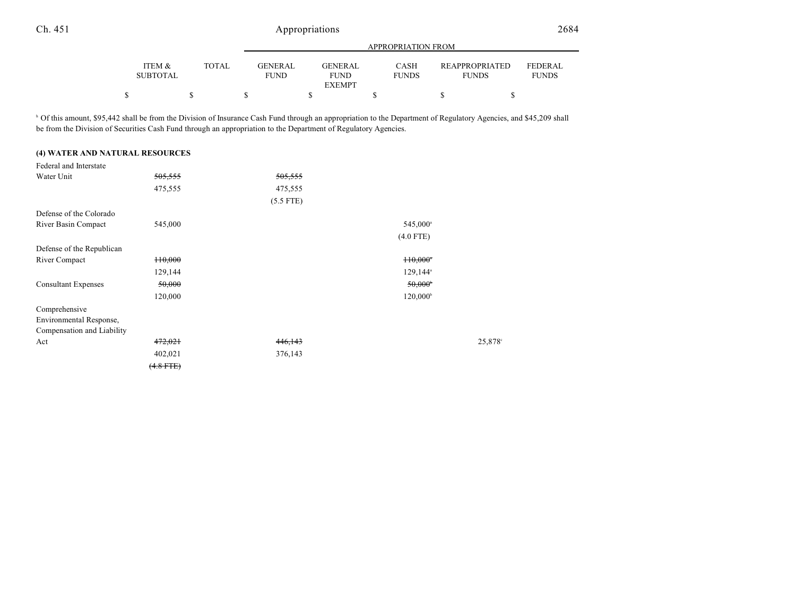|                           |       |                               |                                         | APPROPRIATION FROM   |                                       |                                |
|---------------------------|-------|-------------------------------|-----------------------------------------|----------------------|---------------------------------------|--------------------------------|
| ITEM &<br><b>SUBTOTAL</b> | TOTAL | <b>GENERAL</b><br><b>FUND</b> | GENERAL<br><b>FUND</b><br><b>EXEMPT</b> | CASH<br><b>FUNDS</b> | <b>REAPPROPRIATED</b><br><b>FUNDS</b> | <b>FEDERAL</b><br><b>FUNDS</b> |
|                           |       |                               |                                         |                      |                                       |                                |

<sup>h</sup> Of this amount, \$95,442 shall be from the Division of Insurance Cash Fund through an appropriation to the Department of Regulatory Agencies, and \$45,209 shall be from the Division of Securities Cash Fund through an appropriation to the Department of Regulatory Agencies.

#### **(4) WATER AND NATURAL RESOURCES**

| Federal and Interstate     |                    |             |                        |        |
|----------------------------|--------------------|-------------|------------------------|--------|
| Water Unit                 | <del>505,555</del> | 505,555     |                        |        |
|                            | 475,555            | 475,555     |                        |        |
|                            |                    | $(5.5$ FTE) |                        |        |
| Defense of the Colorado    |                    |             |                        |        |
| River Basin Compact        | 545,000            |             | 545,000 <sup>a</sup>   |        |
|                            |                    |             | $(4.0$ FTE)            |        |
| Defense of the Republican  |                    |             |                        |        |
| River Compact              | <del>110,000</del> |             | $110,000$ <sup>*</sup> |        |
|                            | 129,144            |             | $129,144$ <sup>a</sup> |        |
| <b>Consultant Expenses</b> | 50,000             |             | $50,000$ <sup>6</sup>  |        |
|                            | 120,000            |             | $120,000^{\circ}$      |        |
| Comprehensive              |                    |             |                        |        |
| Environmental Response,    |                    |             |                        |        |
| Compensation and Liability |                    |             |                        |        |
| Act                        | 472,021            | 446,143     |                        | 25,878 |
|                            | 402,021            | 376,143     |                        |        |
|                            | $(4.8$ FTE)        |             |                        |        |
|                            |                    |             |                        |        |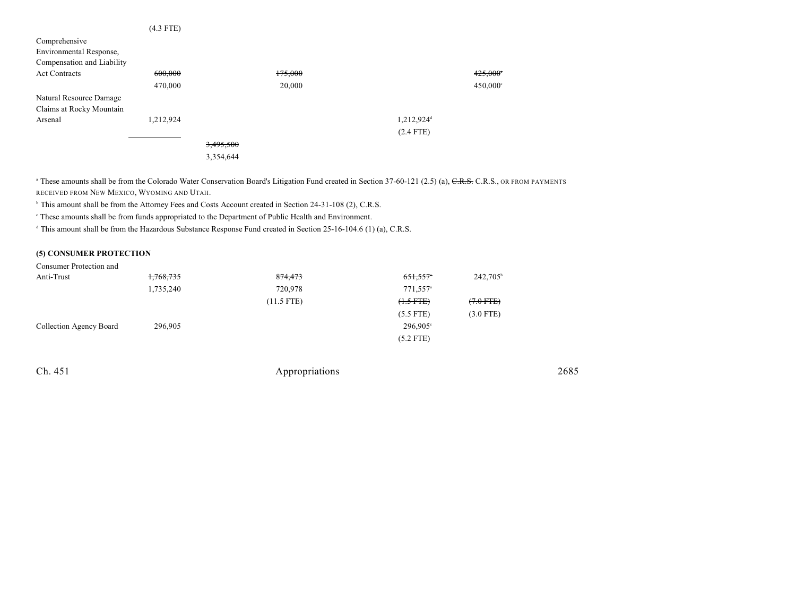|                            | $(4.3$ FTE) |           |         |                        |                   |
|----------------------------|-------------|-----------|---------|------------------------|-------------------|
| Comprehensive              |             |           |         |                        |                   |
| Environmental Response,    |             |           |         |                        |                   |
| Compensation and Liability |             |           |         |                        |                   |
| <b>Act Contracts</b>       | 600,000     |           | 175,000 |                        | 425,000           |
|                            | 470,000     |           | 20,000  |                        | $450,000^{\circ}$ |
| Natural Resource Damage    |             |           |         |                        |                   |
| Claims at Rocky Mountain   |             |           |         |                        |                   |
| Arsenal                    | 1,212,924   |           |         | 1,212,924 <sup>d</sup> |                   |
|                            |             |           |         | $(2.4$ FTE)            |                   |
|                            |             | 3,495,500 |         |                        |                   |
|                            |             | 3,354,644 |         |                        |                   |

<sup>a</sup> These amounts shall be from the Colorado Water Conservation Board's Litigation Fund created in Section 37-60-121 (2.5) (a), CR.S., OR FROM PAYMENTS RECEIVED FROM NEW MEXICO, WYOMING AND UTAH.

<sup>h</sup> This amount shall be from the Attorney Fees and Costs Account created in Section 24-31-108 (2), C.R.S.

These amounts shall be from funds appropriated to the Department of Public Health and Environment. <sup>c</sup>

<sup>d</sup> This amount shall be from the Hazardous Substance Response Fund created in Section 25-16-104.6 (1) (a), C.R.S.

#### **(5) CONSUMER PROTECTION**

| Consumer Protection and |           |              |                        |                      |
|-------------------------|-----------|--------------|------------------------|----------------------|
| Anti-Trust              | 1,768,735 | 874,473      | $651,557$ <sup>*</sup> | 242,705 <sup>b</sup> |
|                         | 1,735,240 | 720,978      | 771,557 <sup>a</sup>   |                      |
|                         |           | $(11.5$ FTE) | $(1.5 FTE)$            | $(7.0$ FTE $)$       |
|                         |           |              | $(5.5$ FTE)            | $(3.0$ FTE)          |
| Collection Agency Board | 296,905   |              | $296,905^{\circ}$      |                      |
|                         |           |              | $(5.2$ FTE)            |                      |

| Ch. 451 | Appropriations | 2685 |
|---------|----------------|------|
|---------|----------------|------|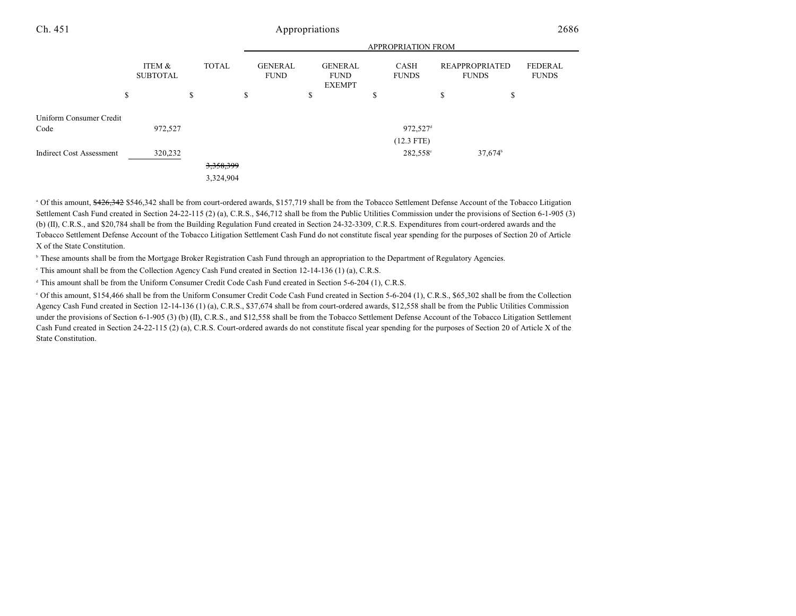|                                 |                           |                      | <b>APPROPRIATION FROM</b>     |    |                                                |   |                             |    |                                       |                                |  |
|---------------------------------|---------------------------|----------------------|-------------------------------|----|------------------------------------------------|---|-----------------------------|----|---------------------------------------|--------------------------------|--|
|                                 | ITEM &<br><b>SUBTOTAL</b> | <b>TOTAL</b>         | <b>GENERAL</b><br><b>FUND</b> |    | <b>GENERAL</b><br><b>FUND</b><br><b>EXEMPT</b> |   | <b>CASH</b><br><b>FUNDS</b> |    | <b>REAPPROPRIATED</b><br><b>FUNDS</b> | <b>FEDERAL</b><br><b>FUNDS</b> |  |
|                                 | \$                        | \$                   | \$                            | \$ |                                                | ъ |                             | \$ | \$                                    |                                |  |
| Uniform Consumer Credit         |                           |                      |                               |    |                                                |   |                             |    |                                       |                                |  |
| Code                            | 972,527                   |                      |                               |    |                                                |   | 972,527 <sup>d</sup>        |    |                                       |                                |  |
|                                 |                           |                      |                               |    |                                                |   | $(12.3$ FTE)                |    |                                       |                                |  |
| <b>Indirect Cost Assessment</b> | 320,232                   |                      |                               |    |                                                |   | 282,558°                    |    | $37,674^{\circ}$                      |                                |  |
|                                 |                           | <del>3,358,399</del> |                               |    |                                                |   |                             |    |                                       |                                |  |
|                                 |                           | 3,324,904            |                               |    |                                                |   |                             |    |                                       |                                |  |

<sup>a</sup> Of this amount, \$426,342 \$546,342 shall be from court-ordered awards, \$157,719 shall be from the Tobacco Settlement Defense Account of the Tobacco Litigation Settlement Cash Fund created in Section 24-22-115 (2) (a), C.R.S., \$46,712 shall be from the Public Utilities Commission under the provisions of Section 6-1-905 (3) (b) (II), C.R.S., and \$20,784 shall be from the Building Regulation Fund created in Section 24-32-3309, C.R.S. Expenditures from court-ordered awards and the Tobacco Settlement Defense Account of the Tobacco Litigation Settlement Cash Fund do not constitute fiscal year spending for the purposes of Section 20 of Article X of the State Constitution.

<sup>h</sup> These amounts shall be from the Mortgage Broker Registration Cash Fund through an appropriation to the Department of Regulatory Agencies.

<sup>e</sup> This amount shall be from the Collection Agency Cash Fund created in Section 12-14-136 (1) (a), C.R.S.

<sup>d</sup> This amount shall be from the Uniform Consumer Credit Code Cash Fund created in Section 5-6-204 (1), C.R.S.

 Of this amount, \$154,466 shall be from the Uniform Consumer Credit Code Cash Fund created in Section 5-6-204 (1), C.R.S., \$65,302 shall be from the Collection <sup>e</sup> Agency Cash Fund created in Section 12-14-136 (1) (a), C.R.S., \$37,674 shall be from court-ordered awards, \$12,558 shall be from the Public Utilities Commission under the provisions of Section 6-1-905 (3) (b) (II), C.R.S., and \$12,558 shall be from the Tobacco Settlement Defense Account of the Tobacco Litigation Settlement Cash Fund created in Section 24-22-115 (2) (a), C.R.S. Court-ordered awards do not constitute fiscal year spending for the purposes of Section 20 of Article X of the State Constitution.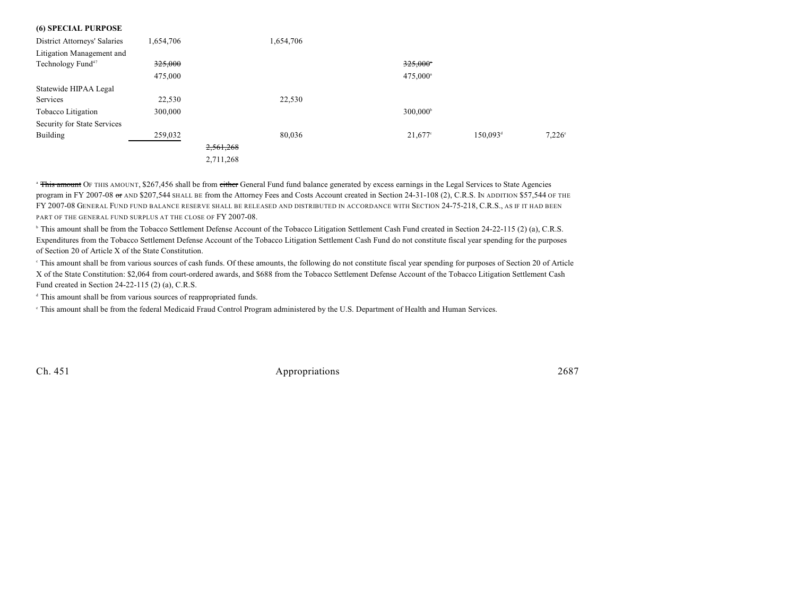| (0) SPECIAL PURPOSE                 |           |           |           |                        |                      |                 |
|-------------------------------------|-----------|-----------|-----------|------------------------|----------------------|-----------------|
| <b>District Attorneys' Salaries</b> | 1,654,706 |           | 1,654,706 |                        |                      |                 |
| Litigation Management and           |           |           |           |                        |                      |                 |
| Technology Fund <sup>47</sup>       | 325,000   |           |           | $325,000$ <sup>*</sup> |                      |                 |
|                                     | 475,000   |           |           | 475,000 <sup>a</sup>   |                      |                 |
| Statewide HIPAA Legal               |           |           |           |                        |                      |                 |
| Services                            | 22,530    |           | 22,530    |                        |                      |                 |
| Tobacco Litigation                  | 300,000   |           |           | $300,000^{\circ}$      |                      |                 |
| Security for State Services         |           |           |           |                        |                      |                 |
| Building                            | 259,032   |           | 80.036    | $21,677$ °             | 150,093 <sup>d</sup> | $7.226^{\circ}$ |
|                                     |           | 2,561,268 |           |                        |                      |                 |
|                                     |           | 2,711,268 |           |                        |                      |                 |
|                                     |           |           |           |                        |                      |                 |

<sup>a</sup> This amount OF THIS AMOUNT, \$267,456 shall be from either General Fund fund balance generated by excess earnings in the Legal Services to State Agencies program in FY 2007-08 or AND \$207,544 SHALL BE from the Attorney Fees and Costs Account created in Section 24-31-108 (2), C.R.S. IN ADDITION \$57,544 OF THE FY 2007-08 GENERAL FUND FUND BALANCE RESERVE SHALL BE RELEASED AND DISTRIBUTED IN ACCORDANCE WITH SECTION 24-75-218, C.R.S., AS IF IT HAD BEEN PART OF THE GENERAL FUND SURPLUS AT THE CLOSE OF FY 2007-08.

<sup>b</sup> This amount shall be from the Tobacco Settlement Defense Account of the Tobacco Litigation Settlement Cash Fund created in Section 24-22-115 (2) (a), C.R.S. Expenditures from the Tobacco Settlement Defense Account of the Tobacco Litigation Settlement Cash Fund do not constitute fiscal year spending for the purposes of Section 20 of Article X of the State Constitution.

 This amount shall be from various sources of cash funds. Of these amounts, the following do not constitute fiscal year spending for purposes of Section 20 of Article <sup>c</sup> X of the State Constitution: \$2,064 from court-ordered awards, and \$688 from the Tobacco Settlement Defense Account of the Tobacco Litigation Settlement Cash Fund created in Section 24-22-115 (2) (a), C.R.S.

<sup>d</sup> This amount shall be from various sources of reappropriated funds.

<sup>e</sup> This amount shall be from the federal Medicaid Fraud Control Program administered by the U.S. Department of Health and Human Services.

**(6) SPECIAL PURPOSE**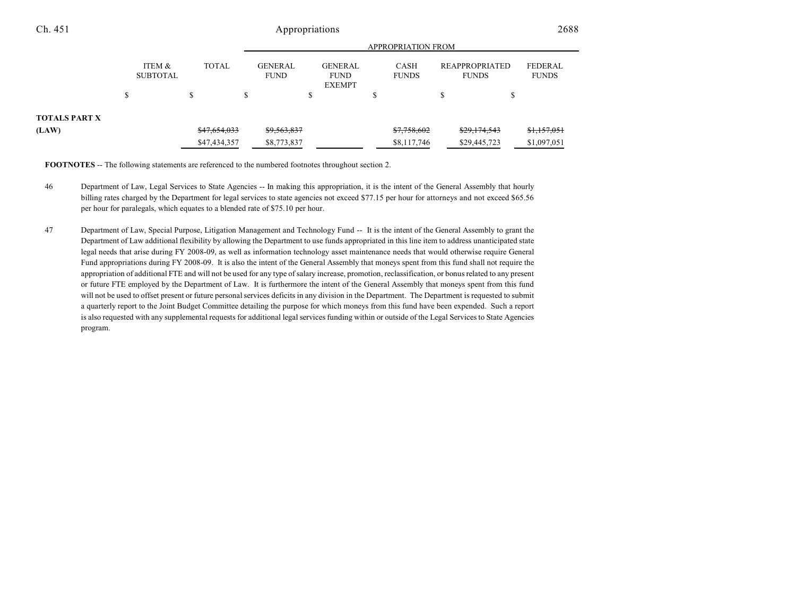|                      |   |                           |       |              |    | <b>APPROPRIATION FROM</b>     |                                                |   |                             |                                       |              |                                |  |  |  |
|----------------------|---|---------------------------|-------|--------------|----|-------------------------------|------------------------------------------------|---|-----------------------------|---------------------------------------|--------------|--------------------------------|--|--|--|
|                      |   | ITEM &<br><b>SUBTOTAL</b> | TOTAL |              |    | <b>GENERAL</b><br><b>FUND</b> | <b>GENERAL</b><br><b>FUND</b><br><b>EXEMPT</b> |   | <b>CASH</b><br><b>FUNDS</b> | <b>REAPPROPRIATED</b><br><b>FUNDS</b> |              | <b>FEDERAL</b><br><b>FUNDS</b> |  |  |  |
|                      | ь |                           | \$    |              | ۰υ |                               |                                                | ۵ |                             |                                       |              |                                |  |  |  |
| <b>TOTALS PART X</b> |   |                           |       |              |    |                               |                                                |   |                             |                                       |              |                                |  |  |  |
| (LAW)                |   |                           |       | \$47,654,033 |    | \$9,563,837                   |                                                |   | \$7,758,602                 |                                       | \$29,174,543 | \$1,157,051                    |  |  |  |
|                      |   |                           |       | \$47,434,357 |    | \$8,773,837                   |                                                |   | \$8,117,746                 |                                       | \$29,445,723 | \$1,097,051                    |  |  |  |

**FOOTNOTES** -- The following statements are referenced to the numbered footnotes throughout section 2.

- 46 Department of Law, Legal Services to State Agencies -- In making this appropriation, it is the intent of the General Assembly that hourly billing rates charged by the Department for legal services to state agencies not exceed \$77.15 per hour for attorneys and not exceed \$65.56 per hour for paralegals, which equates to a blended rate of \$75.10 per hour.
- 47 Department of Law, Special Purpose, Litigation Management and Technology Fund -- It is the intent of the General Assembly to grant the Department of Law additional flexibility by allowing the Department to use funds appropriated in this line item to address unanticipated state legal needs that arise during FY 2008-09, as well as information technology asset maintenance needs that would otherwise require General Fund appropriations during FY 2008-09. It is also the intent of the General Assembly that moneys spent from this fund shall not require the appropriation of additional FTE and will not be used for any type of salary increase, promotion, reclassification, or bonus related to any present or future FTE employed by the Department of Law. It is furthermore the intent of the General Assembly that moneys spent from this fund will not be used to offset present or future personal services deficits in any division in the Department. The Department is requested to submit a quarterly report to the Joint Budget Committee detailing the purpose for which moneys from this fund have been expended. Such a report is also requested with any supplemental requests for additional legal services funding within or outside of the Legal Services to State Agencies program.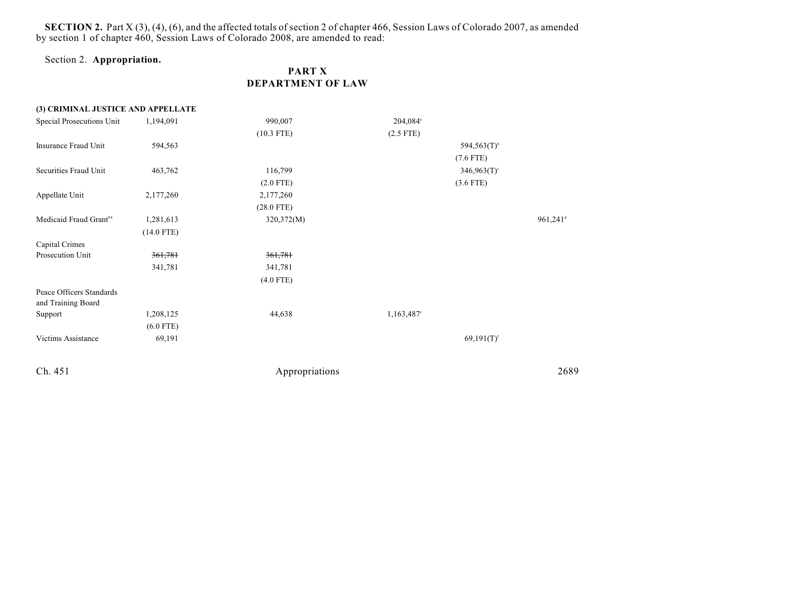**SECTION 2.** Part X (3), (4), (6), and the affected totals of section 2 of chapter 466, Session Laws of Colorado 2007, as amended by section 1 of chapter 460, Session Laws of Colorado 2008, are amended to read:

## Section 2. **Appropriation.**

## **PART X DEPARTMENT OF LAW**

| (3) CRIMINAL JUSTICE AND APPELLATE |              |              |                      |                           |                        |
|------------------------------------|--------------|--------------|----------------------|---------------------------|------------------------|
| Special Prosecutions Unit          | 1,194,091    | 990,007      | 204,084 <sup>a</sup> |                           |                        |
|                                    |              | $(10.3$ FTE) | $(2.5$ FTE)          |                           |                        |
| Insurance Fraud Unit               | 594,563      |              |                      | $594,563(T)$ <sup>b</sup> |                        |
|                                    |              |              |                      | $(7.6$ FTE)               |                        |
| Securities Fraud Unit              | 463,762      | 116,799      |                      | $346,963(T)$ <sup>c</sup> |                        |
|                                    |              | $(2.0$ FTE)  |                      | $(3.6$ FTE)               |                        |
| Appellate Unit                     | 2,177,260    | 2,177,260    |                      |                           |                        |
|                                    |              | $(28.0$ FTE) |                      |                           |                        |
| Medicaid Fraud Grant <sup>98</sup> | 1,281,613    | 320,372(M)   |                      |                           | $961,241$ <sup>d</sup> |
|                                    | $(14.0$ FTE) |              |                      |                           |                        |
| Capital Crimes                     |              |              |                      |                           |                        |
| Prosecution Unit                   | 361,781      | 361,781      |                      |                           |                        |
|                                    | 341,781      | 341,781      |                      |                           |                        |
|                                    |              | $(4.0$ FTE)  |                      |                           |                        |
| Peace Officers Standards           |              |              |                      |                           |                        |
| and Training Board                 |              |              |                      |                           |                        |
| Support                            | 1,208,125    | 44,638       | 1,163,487°           |                           |                        |
|                                    | $(6.0$ FTE)  |              |                      |                           |                        |
| Victims Assistance                 | 69,191       |              |                      | $69,191(T)$ <sup>f</sup>  |                        |
|                                    |              |              |                      |                           |                        |
|                                    |              |              |                      |                           |                        |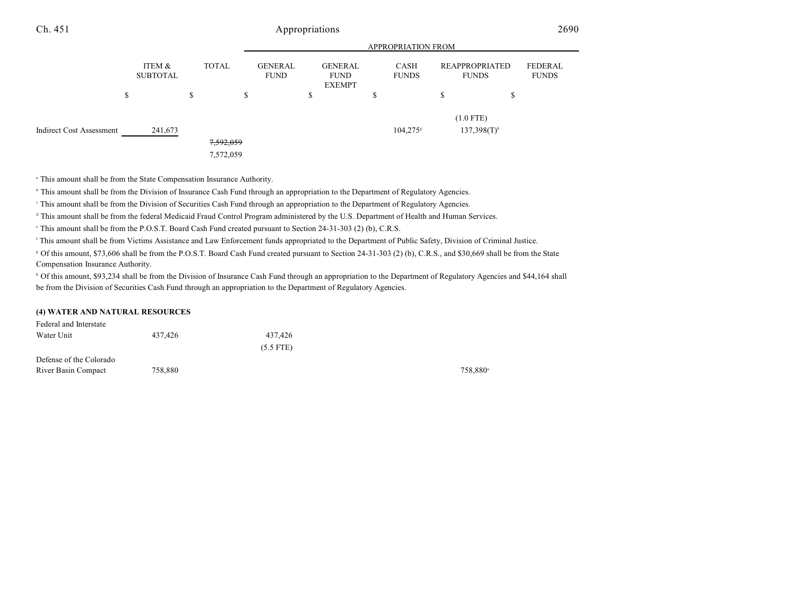|                          |         |                           |   |                        |                               |          |                                                |   | <b>APPROPRIATION FROM</b> |                                          |   |                                |
|--------------------------|---------|---------------------------|---|------------------------|-------------------------------|----------|------------------------------------------------|---|---------------------------|------------------------------------------|---|--------------------------------|
|                          |         | ITEM &<br><b>SUBTOTAL</b> |   | <b>TOTAL</b>           | <b>GENERAL</b><br><b>FUND</b> |          | <b>GENERAL</b><br><b>FUND</b><br><b>EXEMPT</b> |   | CASH<br><b>FUNDS</b>      | <b>REAPPROPRIATED</b><br><b>FUNDS</b>    |   | <b>FEDERAL</b><br><b>FUNDS</b> |
|                          | ch<br>D |                           | D |                        | \$                            | ch<br>۰D |                                                | D |                           | \$                                       | S |                                |
| Indirect Cost Assessment |         | 241,673                   |   | 7,592,059<br>7,572,059 |                               |          |                                                |   | $104,275$ <sup>s</sup>    | $(1.0$ FTE)<br>$137,398(T)$ <sup>h</sup> |   |                                |

<sup>a</sup> This amount shall be from the State Compensation Insurance Authority.

<sup>h</sup> This amount shall be from the Division of Insurance Cash Fund through an appropriation to the Department of Regulatory Agencies.

This amount shall be from the Division of Securities Cash Fund through an appropriation to the Department of Regulatory Agencies.

<sup>d</sup> This amount shall be from the federal Medicaid Fraud Control Program administered by the U.S. Department of Health and Human Services.

This amount shall be from the P.O.S.T. Board Cash Fund created pursuant to Section 24-31-303 (2) (b), C.R.S.

<sup>f</sup> This amount shall be from Victims Assistance and Law Enforcement funds appropriated to the Department of Public Safety, Division of Criminal Justice.

 Of this amount, \$73,606 shall be from the P.O.S.T. Board Cash Fund created pursuant to Section 24-31-303 (2) (b), C.R.S., and \$30,669 shall be from the State <sup>g</sup> Compensation Insurance Authority.

<sup>h</sup> Of this amount, \$93,234 shall be from the Division of Insurance Cash Fund through an appropriation to the Department of Regulatory Agencies and \$44,164 shall be from the Division of Securities Cash Fund through an appropriation to the Department of Regulatory Agencies.

#### **(4) WATER AND NATURAL RESOURCES**

| Federal and Interstate  |         |             |         |
|-------------------------|---------|-------------|---------|
| Water Unit              | 437.426 | 437.426     |         |
|                         |         | $(5.5$ FTE) |         |
| Defense of the Colorado |         |             |         |
| River Basin Compact     | 758.880 |             | 758.880 |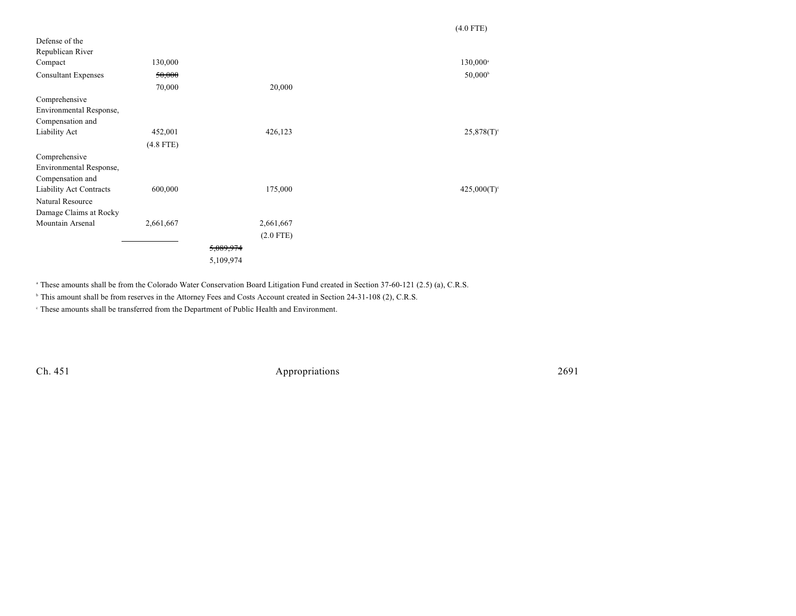|             | $(4.0$ FTE)               |
|-------------|---------------------------|
|             |                           |
|             |                           |
|             | $130,000^{\circ}$         |
|             | $50,000^{\circ}$          |
| 20,000      |                           |
|             |                           |
|             |                           |
|             |                           |
| 426,123     | $25,878(T)$ <sup>c</sup>  |
|             |                           |
|             |                           |
|             |                           |
|             |                           |
| 175,000     | $425,000(T)$ <sup>c</sup> |
|             |                           |
|             |                           |
| 2,661,667   |                           |
| $(2.0$ FTE) |                           |
| 5,089,974   |                           |
| 5,109,974   |                           |
|             |                           |

<sup>a</sup> These amounts shall be from the Colorado Water Conservation Board Litigation Fund created in Section 37-60-121 (2.5) (a), C.R.S.

<sup>h</sup> This amount shall be from reserves in the Attorney Fees and Costs Account created in Section 24-31-108 (2), C.R.S.

These amounts shall be transferred from the Department of Public Health and Environment. <sup>c</sup>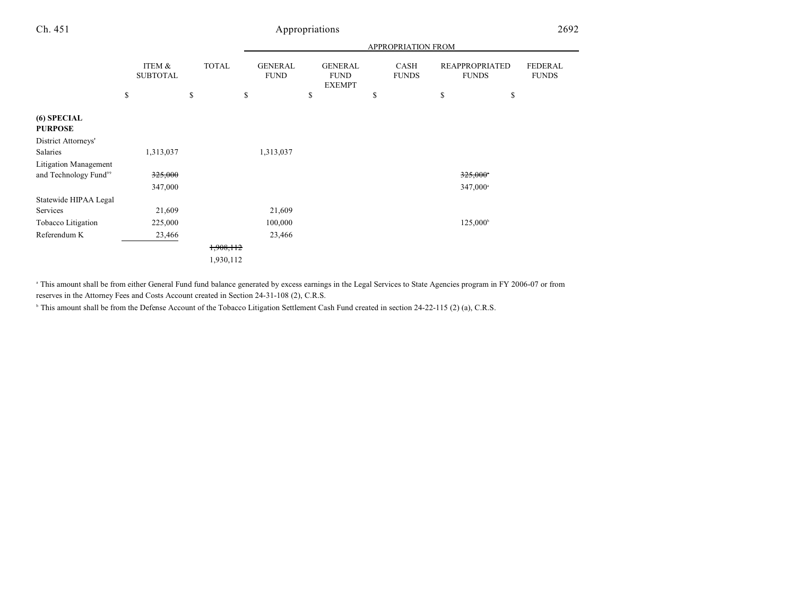|                                                            |                           |              | APPROPRIATION FROM            |                                                |                      |                                                |                                |  |  |  |  |  |
|------------------------------------------------------------|---------------------------|--------------|-------------------------------|------------------------------------------------|----------------------|------------------------------------------------|--------------------------------|--|--|--|--|--|
|                                                            | ITEM &<br><b>SUBTOTAL</b> | <b>TOTAL</b> | <b>GENERAL</b><br><b>FUND</b> | <b>GENERAL</b><br><b>FUND</b><br><b>EXEMPT</b> | CASH<br><b>FUNDS</b> | <b>REAPPROPRIATED</b><br><b>FUNDS</b>          | <b>FEDERAL</b><br><b>FUNDS</b> |  |  |  |  |  |
|                                                            | \$                        | \$           | \$                            | \$                                             | \$                   | \$<br>\$                                       |                                |  |  |  |  |  |
| (6) SPECIAL<br><b>PURPOSE</b>                              |                           |              |                               |                                                |                      |                                                |                                |  |  |  |  |  |
| District Attorneys'<br>Salaries                            | 1,313,037                 |              | 1,313,037                     |                                                |                      |                                                |                                |  |  |  |  |  |
| Litigation Management<br>and Technology Fund <sup>99</sup> | 325,000<br>347,000        |              |                               |                                                |                      | $325,000$ <sup>*</sup><br>347,000 <sup>a</sup> |                                |  |  |  |  |  |
| Statewide HIPAA Legal<br>Services                          | 21,609                    |              | 21,609                        |                                                |                      |                                                |                                |  |  |  |  |  |
| Tobacco Litigation                                         | 225,000                   |              | 100,000                       |                                                |                      | $125,000^{\circ}$                              |                                |  |  |  |  |  |
| Referendum K                                               | 23,466                    |              | 23,466                        |                                                |                      |                                                |                                |  |  |  |  |  |
|                                                            |                           | 1,908,112    |                               |                                                |                      |                                                |                                |  |  |  |  |  |
|                                                            |                           | 1,930,112    |                               |                                                |                      |                                                |                                |  |  |  |  |  |

 This amount shall be from either General Fund fund balance generated by excess earnings in the Legal Services to State Agencies program in FY 2006-07 or from <sup>a</sup> reserves in the Attorney Fees and Costs Account created in Section 24-31-108 (2), C.R.S.

<sup>b</sup> This amount shall be from the Defense Account of the Tobacco Litigation Settlement Cash Fund created in section 24-22-115 (2) (a), C.R.S.

and the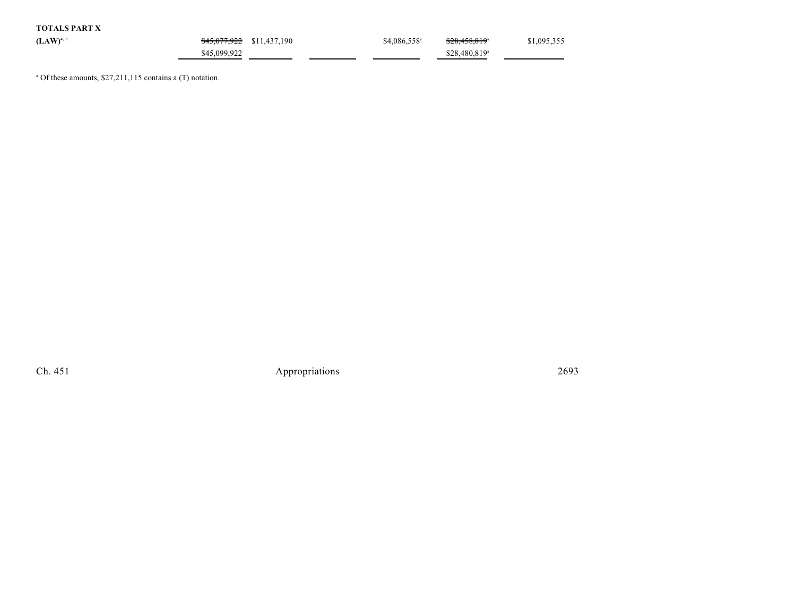| <b>TOTALS PART X</b> |              |                                      |                           |                           |             |
|----------------------|--------------|--------------------------------------|---------------------------|---------------------------|-------------|
| $(LAW)^{4,5}$        |              | <del>\$45,077,922</del> \$11,437,190 | $$4,086,558$ <sup>a</sup> | <del>\$28,458,819</del>   | \$1,095,355 |
|                      | \$45,099,922 |                                      |                           | \$28,480,819 <sup>a</sup> |             |

 $^{\circ}$  Of these amounts, \$27,211,115 contains a (T) notation.